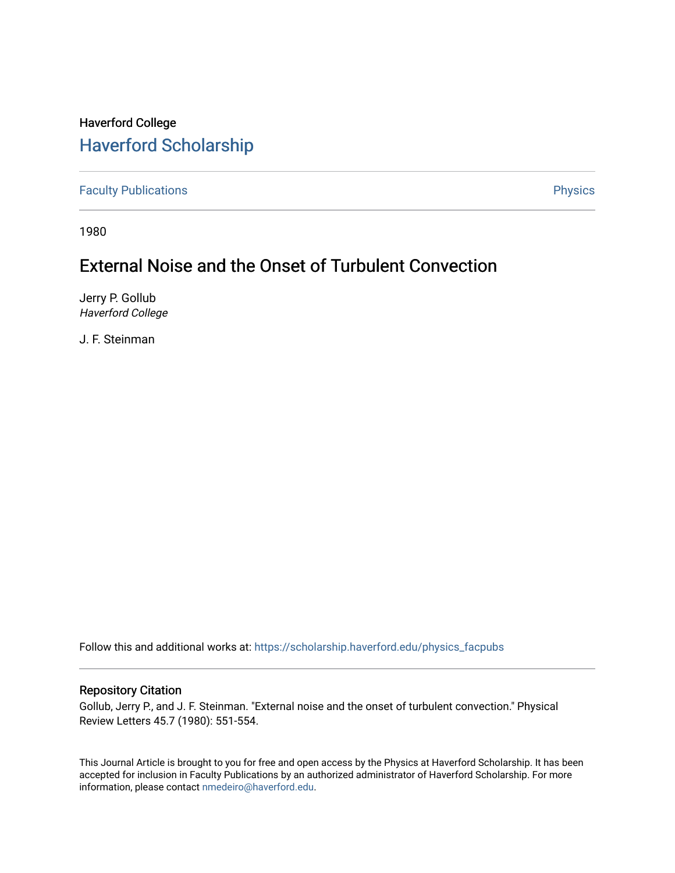# Haverford College [Haverford Scholarship](https://scholarship.haverford.edu/)

[Faculty Publications](https://scholarship.haverford.edu/physics_facpubs) **Physics** 

1980

## External Noise and the Onset of Turbulent Convection

Jerry P. Gollub Haverford College

J. F. Steinman

Follow this and additional works at: [https://scholarship.haverford.edu/physics\\_facpubs](https://scholarship.haverford.edu/physics_facpubs?utm_source=scholarship.haverford.edu%2Fphysics_facpubs%2F254&utm_medium=PDF&utm_campaign=PDFCoverPages) 

### Repository Citation

Gollub, Jerry P., and J. F. Steinman. "External noise and the onset of turbulent convection." Physical Review Letters 45.7 (1980): 551-554.

This Journal Article is brought to you for free and open access by the Physics at Haverford Scholarship. It has been accepted for inclusion in Faculty Publications by an authorized administrator of Haverford Scholarship. For more information, please contact [nmedeiro@haverford.edu.](mailto:nmedeiro@haverford.edu)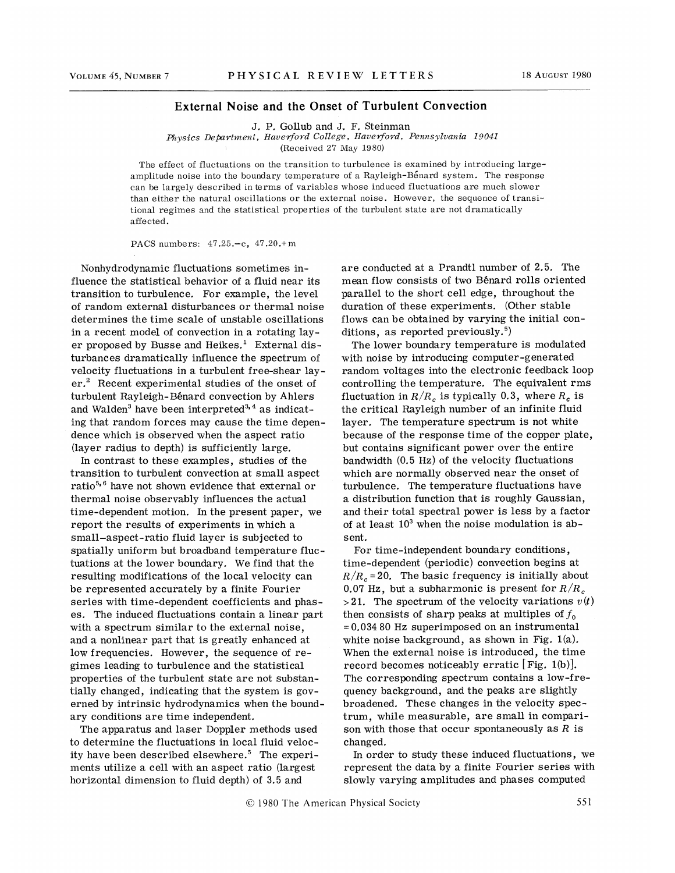#### External Noise and the Onset of Turbulent Convection

J. P. Gollub and J. F. Steinman

Physics Department, Haverford College, Haverford, Pennsylvania 19041 (Received 27 May 1980)

The effect of fluctuations on the transition to turbulence is examined by introducing largeamplitude noise into the boundary temperature of a Rayleigh-Benard system. The response can be largely described in terms of variables whose induced fluctuations are much slower than either the natural oscillations or the external noise. However, the sequence of transitional regimes and the statistical properties of the turbulent state are not dramatically affected.

PACS numbers: 47.25.-c, 47.20.<sup>+</sup> <sup>m</sup>

Nonhydrodynamic fluctuations sometimes influence the statistical behavior of a fluid near its transition to turbulence. For example, the level of random external disturbances or thermal noise determines the time scale of unstable oscillations in a recent model of convection in a rotating layer proposed by Busse and Heikes.<sup>1</sup> External disturbances dramatically influence the spectrum of velocity fluctuations in a turbulent free-shear layer.' Recent experimental studies of the onset of turbulent Rayleigh-Benard convection by Ahlers and Walden<sup>3</sup> have been interpreted<sup>3,4</sup> as indicating that random forces may cause the time dependence which is observed when the aspect ratio (layer radius to depth) is sufficiently large.

In contrast to these examples, studies of the transition to turbulent convection at small aspect ratio<sup>5,6</sup> have not shown evidence that external or thermal noise observably influences the actual time-dependent motion. In the present paper, we report the results of experiments in which a small-aspect-ratio fluid layer is subjected to spatially uniform but broadband temperature fluctuations at the lower boundary. We find that the resulting modifications of the local velocity can be represented accurately by a finite Fourier series with time-dependent coefficients and phases. The induced fluctuations contain a linear part with a spectrum similar to the external noise, and a nonlinear part that is greatly enhanced at low frequencies. However, the sequence of regimes leading to turbulence and the statistical properties of the turbulent state are not substantially changed, indicating that the system is governed by intrinsic hydrodynamics when the boundary conditions are time independent.

The apparatus and laser Doppler methods used to determine the fluctuations in local fluid velocity have been described elsewhere.<sup>5</sup> The experiments utilize a cell with an aspect ratio (largest horizontal dimension to fluid depth) of 3.5 and

are conducted at a Prandtl number of 2.5. The mean flow consists of two Benard rolls oriented parallel to the short cell edge, throughout the duration of these experiments. (Other stable flows can be obtained by varying the initial conditions, as reported previously.<sup>5</sup>)

The lower boundary temperature is modulated with noise by introducing computer-generated random voltages into the electronic feedback loop controlling the temperature. The equivalent rms fluctuation in  $R/R_c$  is typically 0.3, where  $R_c$  is the critical Rayleigh number of an infinite fluid layer. The temperature spectrum is not white because of the response time of the copper plate, but contains significant power over the entire bandwidth (0.5 Hz) of the velocity fluctuations which are normally observed near the onset of turbulence. The temperature fluctuations have a distribution function that is roughly Gaussian, and their total spectral power is less by a factor of at least  $10<sup>3</sup>$  when the noise modulation is absent.

For time-independent boundary conditions, time-dependent (periodic) convection begins at  $R/R<sub>c</sub> = 20$ . The basic frequency is initially about 0.07 Hz, but a subharmonic is present for  $R/R_c$  $>$  21. The spectrum of the velocity variations  $v(t)$ then consists of sharp peaks at multiples of  $f_0$ = 0.034 80 Hz superimposed on an instrumental white noise background, as shown in Fig.  $1(a)$ . When the external noise is introduced, the time record becomes noticeably erratic  $[Fig. 1(b)].$ The corresponding spectrum contains a low-frequency background, and the peaks are slightly broadened. These changes in the velocity spectrum, while measurable, are small in comparison with those that occur spontaneously as  $R$  is changed.

In order to study these induced fluctuations, we represent the data by a finite Fourier series with slowly varying amplitudes and phases computed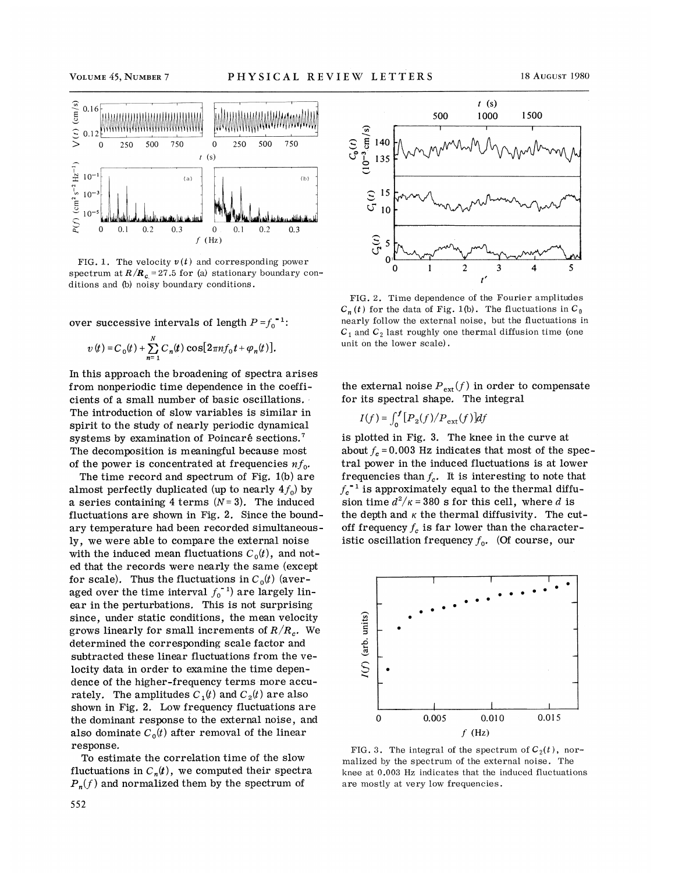

FIG. 1. The velocity  $v(t)$  and corresponding power spectrum at  $R/R_c = 27.5$  for (a) stationary boundary conditions and (b) noisy boundary conditions.

over successive intervals of length  $P = f_0$ <sup>-1</sup>:

$$
v(t) = C_0(t) + \sum_{n=1}^{N} C_n(t) \cos[2\pi n f_0 t + \varphi_n(t)].
$$

In this approach the broadening of spectra arises from nonperiodic time dependence in the coefficients of a small number of basic oscillations. The introduction of slow variables is similar in spirit to the study of nearly periodic dynamical systems by examination of Poincaré sections.<sup>7</sup> The decomposition is meaningful because most of the power is concentrated at frequencies  $nf_0$ .

The time record and spectrum of Fig. 1(b) are almost perfectly duplicated (up to nearly  $4f_0$ ) by a series containing 4 terms  $(N=3)$ . The induced fluctuations are shown in Fig. 2. Since the boundary temperature had been recorded simultaneously, we were able to compare the external noise with the induced mean fluctuations  $C_0(t)$ , and noted that the records were nearly the same (except for scale). Thus the fluctuations in  $C_0(t)$  (averaged over the time interval  $f_0^{-1}$  are largely linear in the perturbations. This is not surprising since, under static conditions, the mean velocity grows linearly for small increments of  $R/R_c$ . We determined the corresponding scale factor and subtracted these linear fluctuations from the velocity data in order to examine the time dependence of the higher-frequency terms more accurately. The amplitudes  $C_1(t)$  and  $C_2(t)$  are also shown in Fig. 2. Low frequency fluctuations are the dominant response to the external noise, and also dominate  $C_0(t)$  after removal of the linear response.

To estimate the correlation time of the slow fluctuations in  $C_n(t)$ , we computed their spectra  $P_n(f)$  and normalized them by the spectrum of



FIG. 2. Time dependence of the Fourier amplitudes  $C_n(t)$  for the data of Fig. 1(b). The fluctuations in  $C_0$ nearly follow the external noise, but the fluctuations in  $C_1$  and  $C_2$  last roughly one thermal diffusion time (one unit on the lower scale).

the external noise  $P_{ext}(f)$  in order to compensate for its spectral shape. The integral

$$
I(f) = \int_0^f [P_2(f)/P_{\text{ext}}(f)] df
$$

is plotted in Fig. 3. The knee in the curve at about  $f_c = 0.003$  Hz indicates that most of the spectral power in the induced fluctuations is at lower frequencies than  $f_c$ . It is interesting to note that  $f_c^{-1}$  is approximately equal to the thermal diffusion time  $d^2/\kappa = 380$  s for this cell, where d is the depth and  $\kappa$  the thermal diffusivity. The cutoff frequency  $f_c$  is far lower than the characteristic oscillation frequency  $f_0$ . (Of course, our



FIG. 3. The integral of the spectrum of  $C_2(t)$ , normalized by the spectrum of the external noise. The knee at 0.003 Hz indicates that the induced fluctuations are mostly at very low frequencies.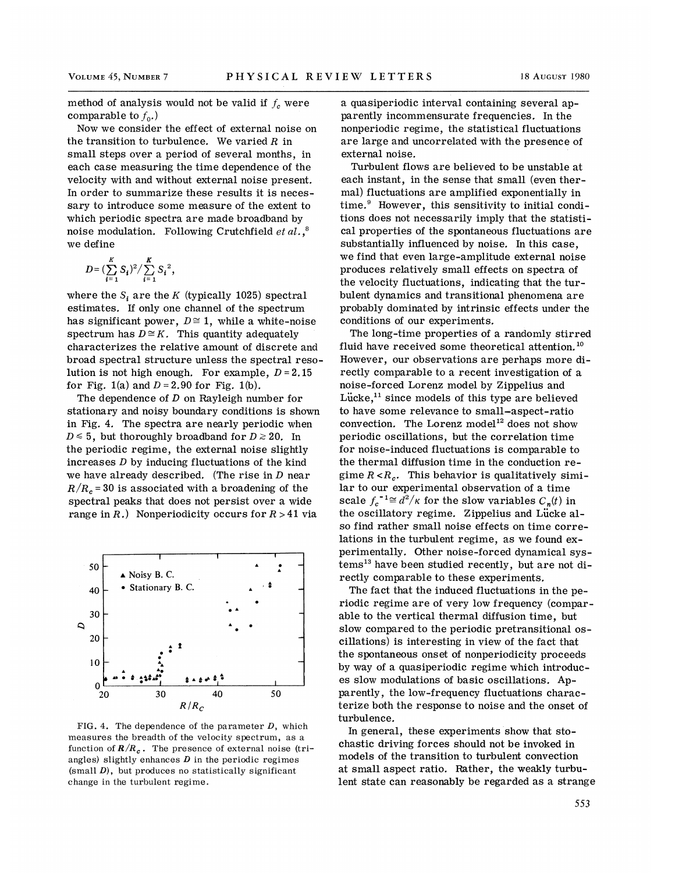method of analysis would not be valid if  $f_c$  were comparable to  $f_0$ .)

Now we consider the effect of external noise on the transition to turbulence. We varied  $R$  in small steps over a period of several months, in each case measuring the time dependence of the velocity with and without external noise present. In order to summarize these results it is necessary to introduce some measure of the extent to which periodic spectra are made broadband by noise modulation. Following Crutchfield  $et al.$ ,<sup>8</sup> we define

$$
D = (\sum_{i=1}^{K} S_i)^2 / \sum_{i=1}^{K} S_i^2,
$$

where the  $S_i$  are the K (typically 1025) spectral estimates. If only one channel of the spectrum has significant power,  $D \cong 1$ , while a white-noise spectrum has  $D \cong K$ . This quantity adequately characterizes the relative amount of discrete and broad spectral structure unless the spectral resolution is not high enough. For example,  $D = 2.15$ for Fig. 1(a) and  $D = 2.90$  for Fig. 1(b).

The dependence of  $D$  on Rayleigh number for stationary and noisy boundary conditions is shown in Fig. 4. The spectra are nearly periodic when  $D \le 5$ , but thoroughly broadband for  $D \ge 20$ . In the periodic regime, the external noise slightly increases  $D$  by inducing fluctuations of the kind we have already described. (The rise in  $D$  near  $R/R_c$  = 30 is associated with a broadening of the spectral peaks that does not persist over a wide range in R.) Nonperiodicity occurs for  $R > 41$  via



FIG. 4. The dependence of the parameter  $D$ , which measures the breadth of the velocity spectrum, as a function of  $\mathbb{R}/R_c$ . The presence of external noise (triangles) slightly enhances  $D$  in the periodic regimes (small D), but produces no statistically significant change in the turbulent regime.

a quasiperiodic interval containing several apparently incommensurate frequencies. In the nonperiodic regime, the statistical fluctuations are large and uncorrelated with the presence of external noise.

Turbulent flows are believed to be unstable at each instant, in the sense that small (even thermal) fluctuations are amplified exponentially in time.<sup>9</sup> However, this sensitivity to initial conditions does not necessarily imply that the statistical properties of the spontaneous fluctuations are substantially influenced by noise. In this case, we find that even large-amplitude external noise produces relatively small effects on spectra of the velocity fluctuations, indicating that the turbulent dynamics and transitional phenomena are probably dominated by intrinsic effects under the conditions of our experiments.

The long-time properties of a randomly stirred<br>id have received some theoretical attention.<sup>10</sup> fluid have received some theoretical attention. However, our observations are perhaps more directly comparable to a recent investigation of a noise-forced Lorenz model by Zippelius and noise-forced Lorenz model by Zippelius and<br>Lücke,<sup>11</sup> since models of this type are believe to have some relevance to small-aspect-ratio convection. The Lorenz model<sup>12</sup> does not show periodic oscillations, but the correlation time for noise-induced fluctuations is comparable to the thermal diffusion time in the conduction regime  $R < R<sub>c</sub>$ . This behavior is qualitatively similar to our experimental observation of a time scale  $f_c^{-1} \cong d^2/\kappa$  for the slow variables  $C_n(t)$  in the oscillatory regime. Zippelius and Lücke also find rather small noise effects on time correlations in the turbulent regime, as we found experimentally. Other noise-forced dynamical systems<sup>13</sup> have been studied recently, but are not directly comparable to these experiments.

The fact that the induced fluctuations in the periodic regime are of very low frequency (comparable to the vertical thermal diffusion time, but slow compared to the periodic pretransitional oscillations) is interesting in view of the fact that the spontaneous onset of nonperiodicity proceeds by way of a quasiperiodic regime which introduces slow modulations of basic oscillations. Apparently, the low-frequency fluctuations characterize both the response to noise and the onset of turbulence.

In general, these experiments show that stochastic driving forces should not be invoked in models of the transition to turbulent convection at small aspect ratio. Rather, the weakly turbulent state can reasonably be regarded as a strange